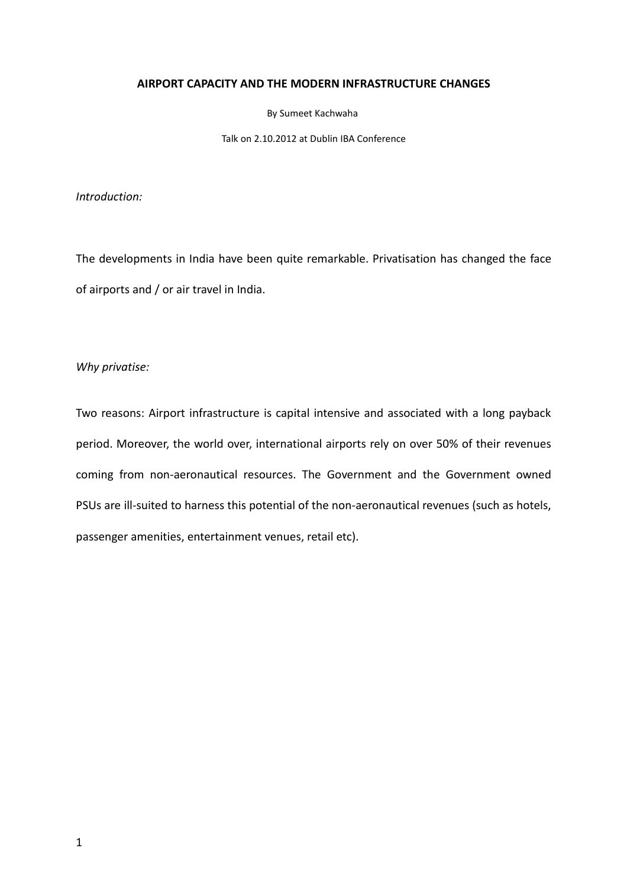# AIRPORT CAPACITY AND THE MODERN INFRASTRUCTURE CHANGES

By Sumeet Kachwaha

Talk on 2.10.2012 at Dublin IBA Conference

Introduction:

The developments in India have been quite remarkable. Privatisation has changed the face of airports and / or air travel in India.

Why privatise:

Two reasons: Airport infrastructure is capital intensive and associated with a long payback period. Moreover, the world over, international airports rely on over 50% of their revenues coming from non-aeronautical resources. The Government and the Government owned PSUs are ill-suited to harness this potential of the non-aeronautical revenues (such as hotels, passenger amenities, entertainment venues, retail etc).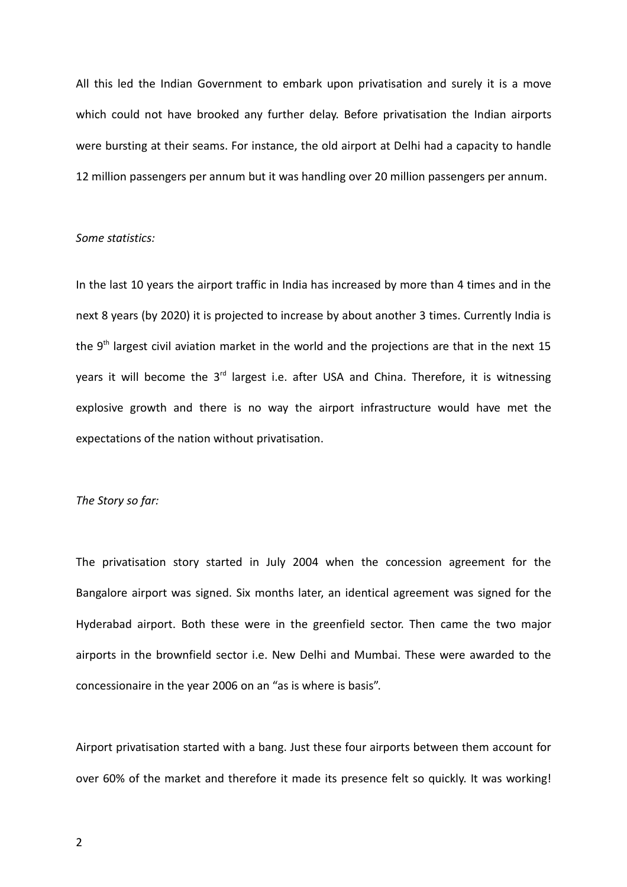All this led the Indian Government to embark upon privatisation and surely it is a move which could not have brooked any further delay. Before privatisation the Indian airports were bursting at their seams. For instance, the old airport at Delhi had a capacity to handle 12 million passengers per annum but it was handling over 20 million passengers per annum.

### Some statistics:

In the last 10 years the airport traffic in India has increased by more than 4 times and in the next 8 years (by 2020) it is projected to increase by about another 3 times. Currently India is the  $9<sup>th</sup>$  largest civil aviation market in the world and the projections are that in the next 15 years it will become the 3<sup>rd</sup> largest i.e. after USA and China. Therefore, it is witnessing explosive growth and there is no way the airport infrastructure would have met the expectations of the nation without privatisation.

# The Story so far:

The privatisation story started in July 2004 when the concession agreement for the Bangalore airport was signed. Six months later, an identical agreement was signed for the Hyderabad airport. Both these were in the greenfield sector. Then came the two major airports in the brownfield sector i.e. New Delhi and Mumbai. These were awarded to the concessionaire in the year 2006 on an "as is where is basis".

Airport privatisation started with a bang. Just these four airports between them account for over 60% of the market and therefore it made its presence felt so quickly. It was working!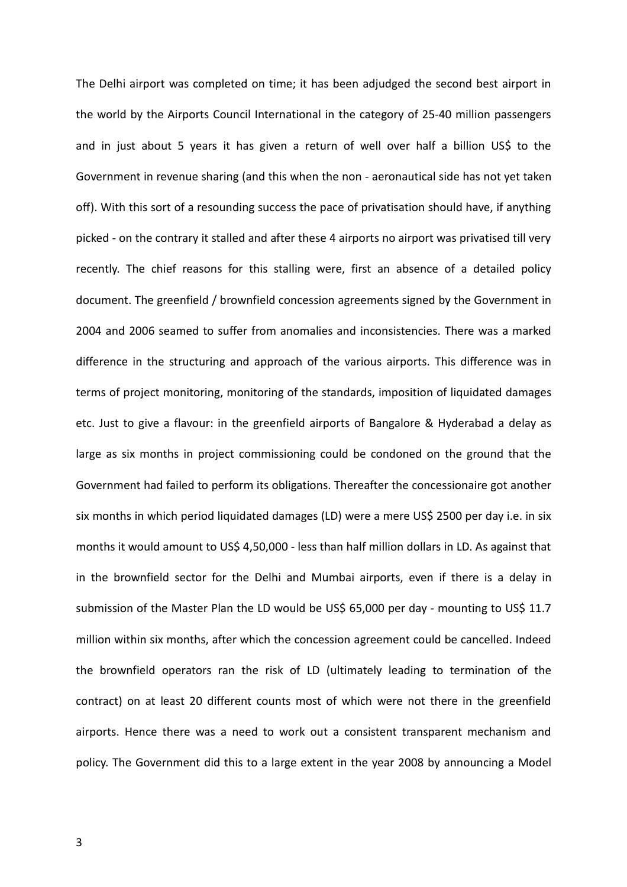The Delhi airport was completed on time; it has been adjudged the second best airport in the world by the Airports Council International in the category of 25-40 million passengers and in just about 5 years it has given a return of well over half a billion US\$ to the Government in revenue sharing (and this when the non - aeronautical side has not yet taken off). With this sort of a resounding success the pace of privatisation should have, if anything picked - on the contrary it stalled and after these 4 airports no airport was privatised till very recently. The chief reasons for this stalling were, first an absence of a detailed policy document. The greenfield / brownfield concession agreements signed by the Government in 2004 and 2006 seamed to suffer from anomalies and inconsistencies. There was a marked difference in the structuring and approach of the various airports. This difference was in terms of project monitoring, monitoring of the standards, imposition of liquidated damages etc. Just to give a flavour: in the greenfield airports of Bangalore & Hyderabad a delay as large as six months in project commissioning could be condoned on the ground that the Government had failed to perform its obligations. Thereafter the concessionaire got another six months in which period liquidated damages (LD) were a mere US\$ 2500 per day i.e. in six months it would amount to US\$ 4,50,000 - less than half million dollars in LD. As against that in the brownfield sector for the Delhi and Mumbai airports, even if there is a delay in submission of the Master Plan the LD would be US\$ 65,000 per day - mounting to US\$ 11.7 million within six months, after which the concession agreement could be cancelled. Indeed the brownfield operators ran the risk of LD (ultimately leading to termination of the contract) on at least 20 different counts most of which were not there in the greenfield airports. Hence there was a need to work out a consistent transparent mechanism and policy. The Government did this to a large extent in the year 2008 by announcing a Model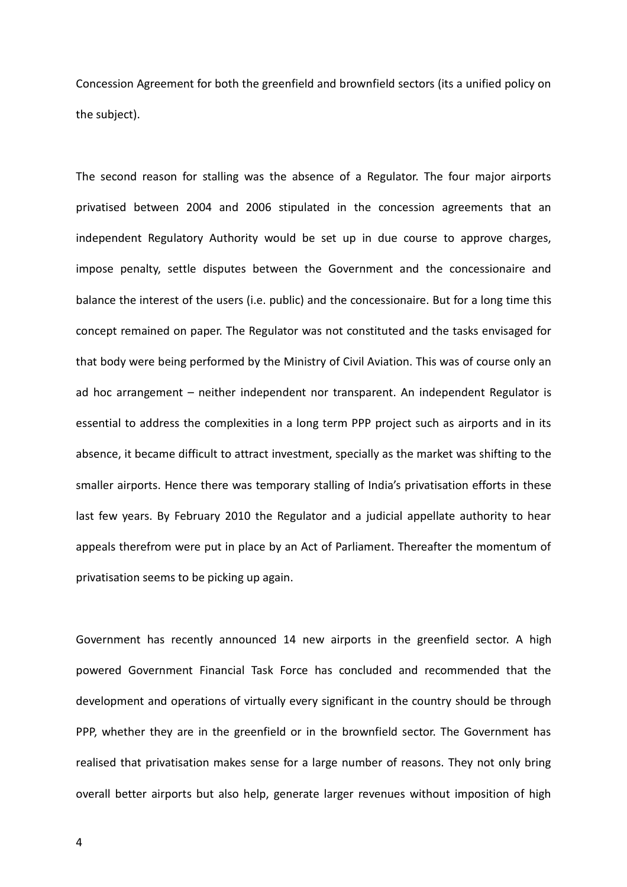Concession Agreement for both the greenfield and brownfield sectors (its a unified policy on the subject).

The second reason for stalling was the absence of a Regulator. The four major airports privatised between 2004 and 2006 stipulated in the concession agreements that an independent Regulatory Authority would be set up in due course to approve charges, impose penalty, settle disputes between the Government and the concessionaire and balance the interest of the users (i.e. public) and the concessionaire. But for a long time this concept remained on paper. The Regulator was not constituted and the tasks envisaged for that body were being performed by the Ministry of Civil Aviation. This was of course only an ad hoc arrangement – neither independent nor transparent. An independent Regulator is essential to address the complexities in a long term PPP project such as airports and in its absence, it became difficult to attract investment, specially as the market was shifting to the smaller airports. Hence there was temporary stalling of India's privatisation efforts in these last few years. By February 2010 the Regulator and a judicial appellate authority to hear appeals therefrom were put in place by an Act of Parliament. Thereafter the momentum of privatisation seems to be picking up again.

Government has recently announced 14 new airports in the greenfield sector. A high powered Government Financial Task Force has concluded and recommended that the development and operations of virtually every significant in the country should be through PPP, whether they are in the greenfield or in the brownfield sector. The Government has realised that privatisation makes sense for a large number of reasons. They not only bring overall better airports but also help, generate larger revenues without imposition of high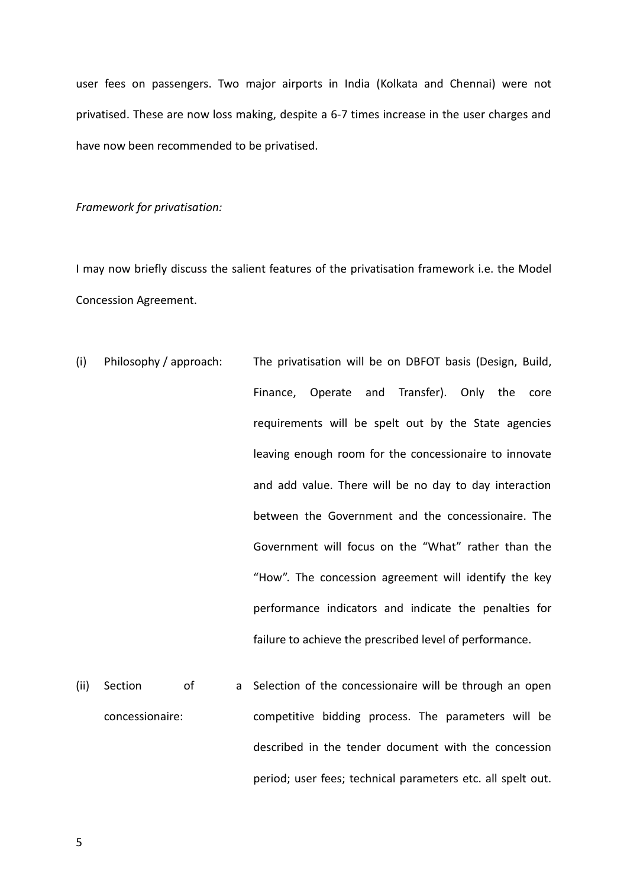user fees on passengers. Two major airports in India (Kolkata and Chennai) were not privatised. These are now loss making, despite a 6-7 times increase in the user charges and have now been recommended to be privatised.

Framework for privatisation:

I may now briefly discuss the salient features of the privatisation framework i.e. the Model Concession Agreement.

- (i) Philosophy / approach: The privatisation will be on DBFOT basis (Design, Build, Finance, Operate and Transfer). Only the core requirements will be spelt out by the State agencies leaving enough room for the concessionaire to innovate and add value. There will be no day to day interaction between the Government and the concessionaire. The Government will focus on the "What" rather than the "How". The concession agreement will identify the key performance indicators and indicate the penalties for failure to achieve the prescribed level of performance.
- (ii) Section of concessionaire: a Selection of the concessionaire will be through an open competitive bidding process. The parameters will be described in the tender document with the concession period; user fees; technical parameters etc. all spelt out.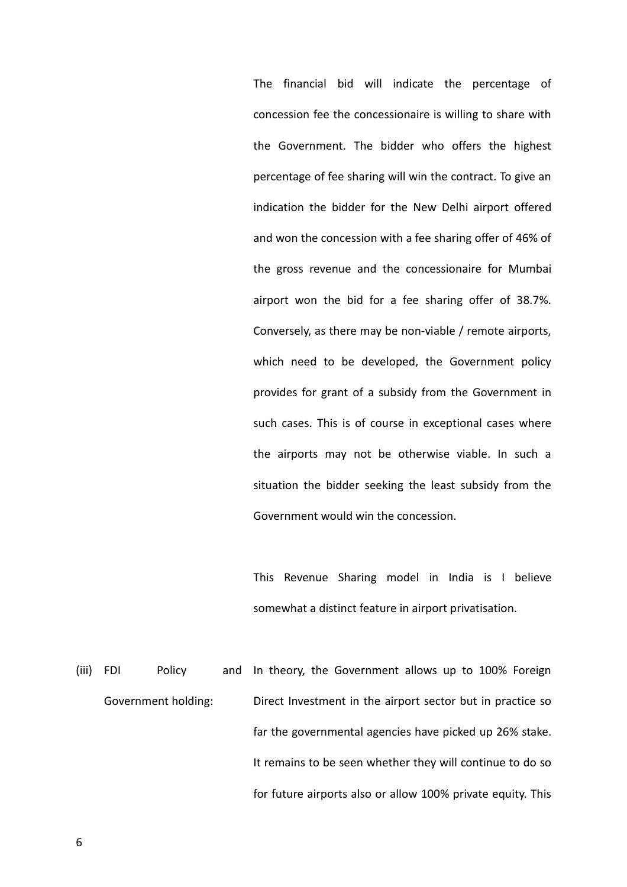The financial bid will indicate the percentage of concession fee the concessionaire is willing to share with the Government. The bidder who offers the highest percentage of fee sharing will win the contract. To give an indication the bidder for the New Delhi airport offered and won the concession with a fee sharing offer of 46% of the gross revenue and the concessionaire for Mumbai airport won the bid for a fee sharing offer of 38.7%. Conversely, as there may be non-viable / remote airports, which need to be developed, the Government policy provides for grant of a subsidy from the Government in such cases. This is of course in exceptional cases where the airports may not be otherwise viable. In such a situation the bidder seeking the least subsidy from the Government would win the concession.

This Revenue Sharing model in India is I believe somewhat a distinct feature in airport privatisation.

(iii) FDI Policy and Government holding: In theory, the Government allows up to 100% Foreign Direct Investment in the airport sector but in practice so far the governmental agencies have picked up 26% stake. It remains to be seen whether they will continue to do so for future airports also or allow 100% private equity. This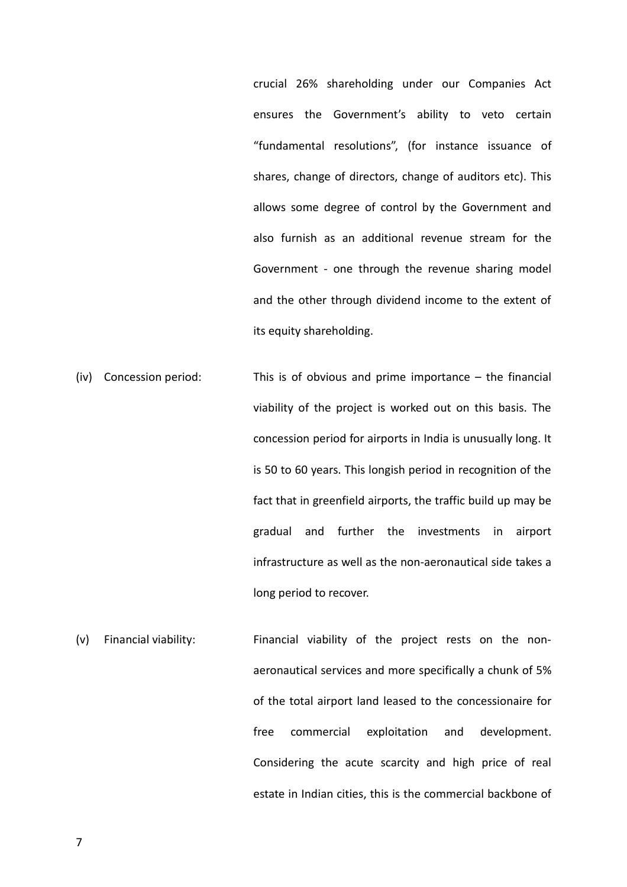crucial 26% shareholding under our Companies Act ensures the Government's ability to veto certain "fundamental resolutions", (for instance issuance of shares, change of directors, change of auditors etc). This allows some degree of control by the Government and also furnish as an additional revenue stream for the Government - one through the revenue sharing model and the other through dividend income to the extent of its equity shareholding.

- (iv) Concession period: This is of obvious and prime importance the financial viability of the project is worked out on this basis. The concession period for airports in India is unusually long. It is 50 to 60 years. This longish period in recognition of the fact that in greenfield airports, the traffic build up may be gradual and further the investments in airport infrastructure as well as the non-aeronautical side takes a long period to recover.
- (v) Financial viability: Financial viability of the project rests on the nonaeronautical services and more specifically a chunk of 5% of the total airport land leased to the concessionaire for free commercial exploitation and development. Considering the acute scarcity and high price of real estate in Indian cities, this is the commercial backbone of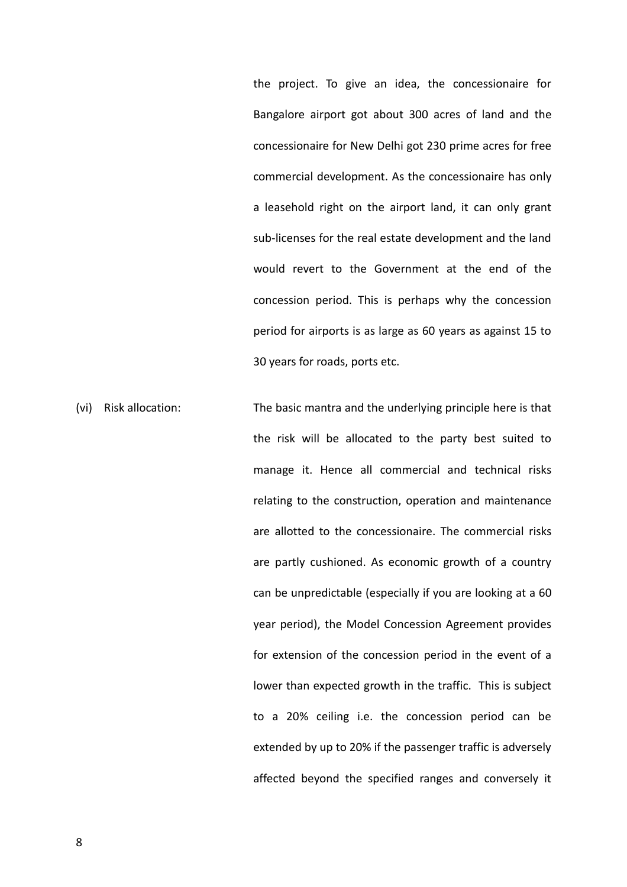the project. To give an idea, the concessionaire for Bangalore airport got about 300 acres of land and the concessionaire for New Delhi got 230 prime acres for free commercial development. As the concessionaire has only a leasehold right on the airport land, it can only grant sub-licenses for the real estate development and the land would revert to the Government at the end of the concession period. This is perhaps why the concession period for airports is as large as 60 years as against 15 to 30 years for roads, ports etc.

(vi) Risk allocation: The basic mantra and the underlying principle here is that the risk will be allocated to the party best suited to manage it. Hence all commercial and technical risks relating to the construction, operation and maintenance are allotted to the concessionaire. The commercial risks are partly cushioned. As economic growth of a country can be unpredictable (especially if you are looking at a 60 year period), the Model Concession Agreement provides for extension of the concession period in the event of a lower than expected growth in the traffic. This is subject to a 20% ceiling i.e. the concession period can be extended by up to 20% if the passenger traffic is adversely affected beyond the specified ranges and conversely it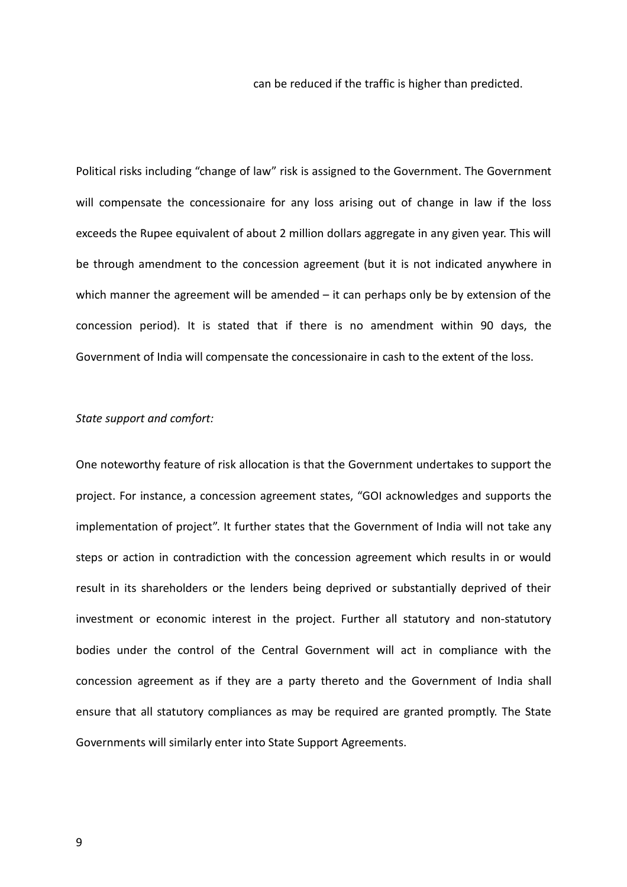can be reduced if the traffic is higher than predicted.

Political risks including "change of law" risk is assigned to the Government. The Government will compensate the concessionaire for any loss arising out of change in law if the loss exceeds the Rupee equivalent of about 2 million dollars aggregate in any given year. This will be through amendment to the concession agreement (but it is not indicated anywhere in which manner the agreement will be amended – it can perhaps only be by extension of the concession period). It is stated that if there is no amendment within 90 days, the Government of India will compensate the concessionaire in cash to the extent of the loss.

# State support and comfort:

One noteworthy feature of risk allocation is that the Government undertakes to support the project. For instance, a concession agreement states, "GOI acknowledges and supports the implementation of project". It further states that the Government of India will not take any steps or action in contradiction with the concession agreement which results in or would result in its shareholders or the lenders being deprived or substantially deprived of their investment or economic interest in the project. Further all statutory and non-statutory bodies under the control of the Central Government will act in compliance with the concession agreement as if they are a party thereto and the Government of India shall ensure that all statutory compliances as may be required are granted promptly. The State Governments will similarly enter into State Support Agreements.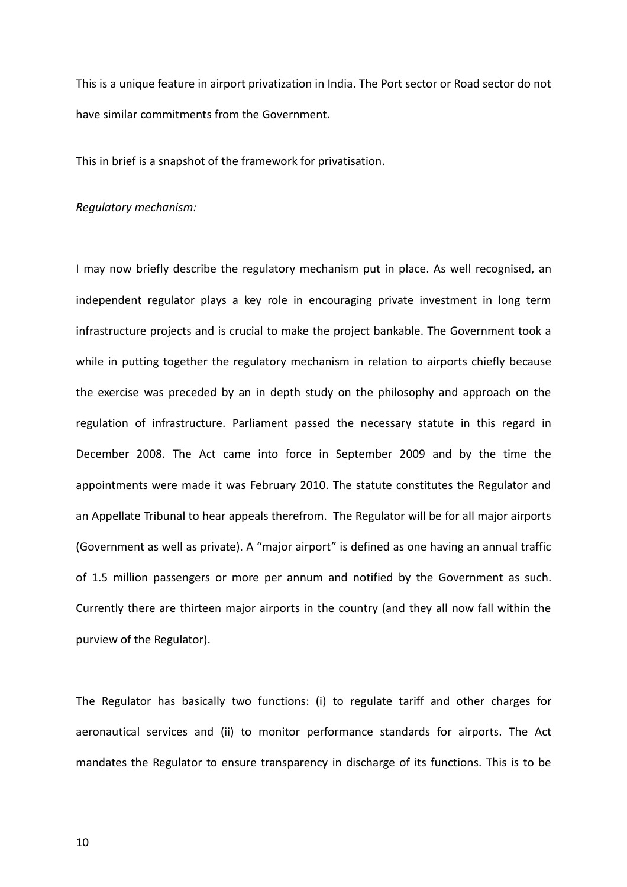This is a unique feature in airport privatization in India. The Port sector or Road sector do not have similar commitments from the Government.

This in brief is a snapshot of the framework for privatisation.

#### Regulatory mechanism:

I may now briefly describe the regulatory mechanism put in place. As well recognised, an independent regulator plays a key role in encouraging private investment in long term infrastructure projects and is crucial to make the project bankable. The Government took a while in putting together the regulatory mechanism in relation to airports chiefly because the exercise was preceded by an in depth study on the philosophy and approach on the regulation of infrastructure. Parliament passed the necessary statute in this regard in December 2008. The Act came into force in September 2009 and by the time the appointments were made it was February 2010. The statute constitutes the Regulator and an Appellate Tribunal to hear appeals therefrom. The Regulator will be for all major airports (Government as well as private). A "major airport" is defined as one having an annual traffic of 1.5 million passengers or more per annum and notified by the Government as such. Currently there are thirteen major airports in the country (and they all now fall within the purview of the Regulator).

The Regulator has basically two functions: (i) to regulate tariff and other charges for aeronautical services and (ii) to monitor performance standards for airports. The Act mandates the Regulator to ensure transparency in discharge of its functions. This is to be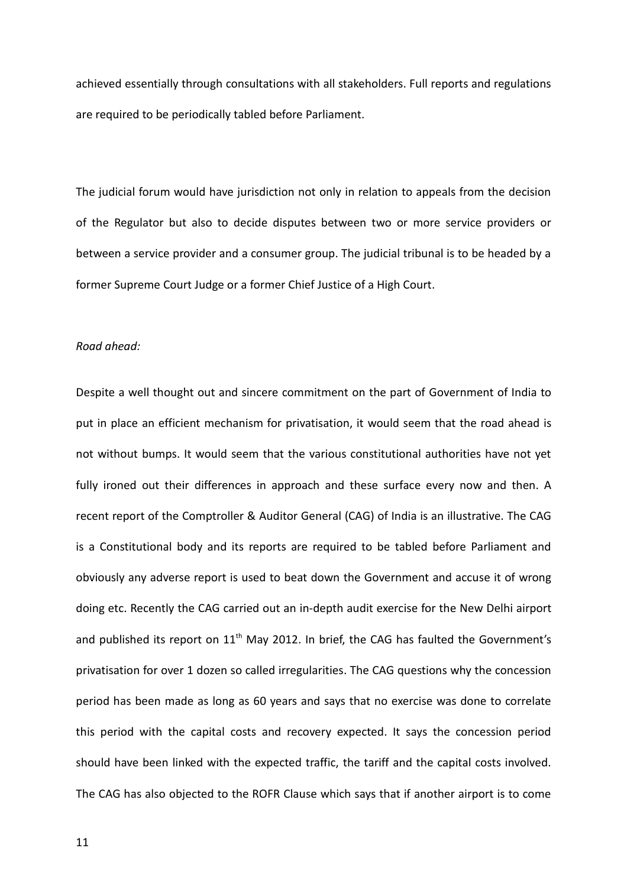achieved essentially through consultations with all stakeholders. Full reports and regulations are required to be periodically tabled before Parliament.

The judicial forum would have jurisdiction not only in relation to appeals from the decision of the Regulator but also to decide disputes between two or more service providers or between a service provider and a consumer group. The judicial tribunal is to be headed by a former Supreme Court Judge or a former Chief Justice of a High Court.

### Road ahead:

Despite a well thought out and sincere commitment on the part of Government of India to put in place an efficient mechanism for privatisation, it would seem that the road ahead is not without bumps. It would seem that the various constitutional authorities have not yet fully ironed out their differences in approach and these surface every now and then. A recent report of the Comptroller & Auditor General (CAG) of India is an illustrative. The CAG is a Constitutional body and its reports are required to be tabled before Parliament and obviously any adverse report is used to beat down the Government and accuse it of wrong doing etc. Recently the CAG carried out an in-depth audit exercise for the New Delhi airport and published its report on  $11<sup>th</sup>$  May 2012. In brief, the CAG has faulted the Government's privatisation for over 1 dozen so called irregularities. The CAG questions why the concession period has been made as long as 60 years and says that no exercise was done to correlate this period with the capital costs and recovery expected. It says the concession period should have been linked with the expected traffic, the tariff and the capital costs involved. The CAG has also objected to the ROFR Clause which says that if another airport is to come